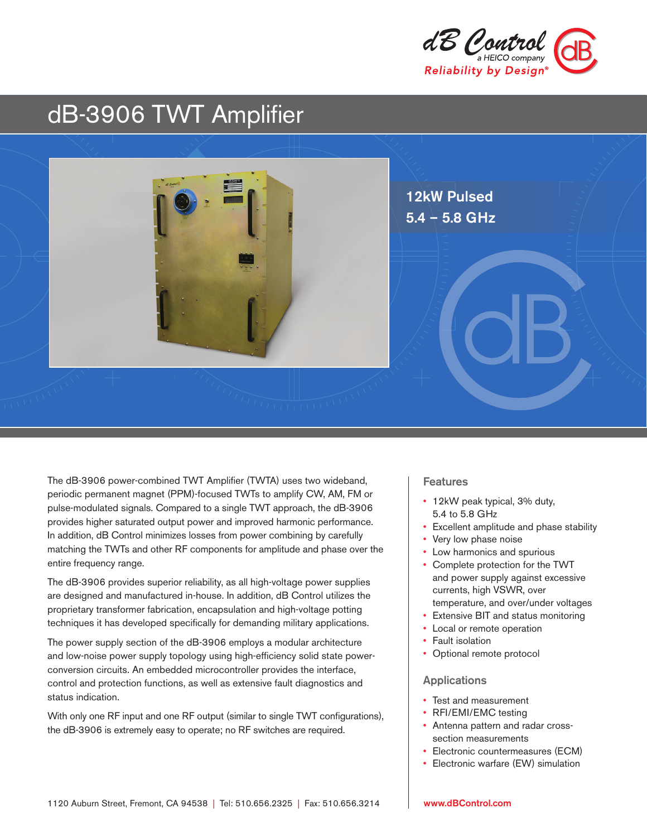

# dB-3906 TWT Amplifier



The dB-3906 power-combined TWT Amplifier (TWTA) uses two wideband, periodic permanent magnet (PPM)-focused TWTs to amplify CW, AM, FM or pulse-modulated signals. Compared to a single TWT approach, the dB-3906 provides higher saturated output power and improved harmonic performance. In addition, dB Control minimizes losses from power combining by carefully matching the TWTs and other RF components for amplitude and phase over the entire frequency range.

The dB-3906 provides superior reliability, as all high-voltage power supplies are designed and manufactured in-house. In addition, dB Control utilizes the proprietary transformer fabrication, encapsulation and high-voltage potting techniques it has developed specifically for demanding military applications.

The power supply section of the dB-3906 employs a modular architecture and low-noise power supply topology using high-efficiency solid state powerconversion circuits. An embedded microcontroller provides the interface, control and protection functions, as well as extensive fault diagnostics and status indication.

With only one RF input and one RF output (similar to single TWT configurations), the dB-3906 is extremely easy to operate; no RF switches are required.

#### Features

- 12kW peak typical, 3% duty, 5.4 to 5.8 GHz
- Excellent amplitude and phase stability
- Very low phase noise
- Low harmonics and spurious
- Complete protection for the TWT and power supply against excessive currents, high VSWR, over temperature, and over/under voltages
- Extensive BIT and status monitoring
- Local or remote operation
- Fault isolation
- Optional remote protocol

#### Applications

- Test and measurement
- RFI/EMI/EMC testing
- Antenna pattern and radar crosssection measurements
- Electronic countermeasures (ECM)
- Electronic warfare (EW) simulation